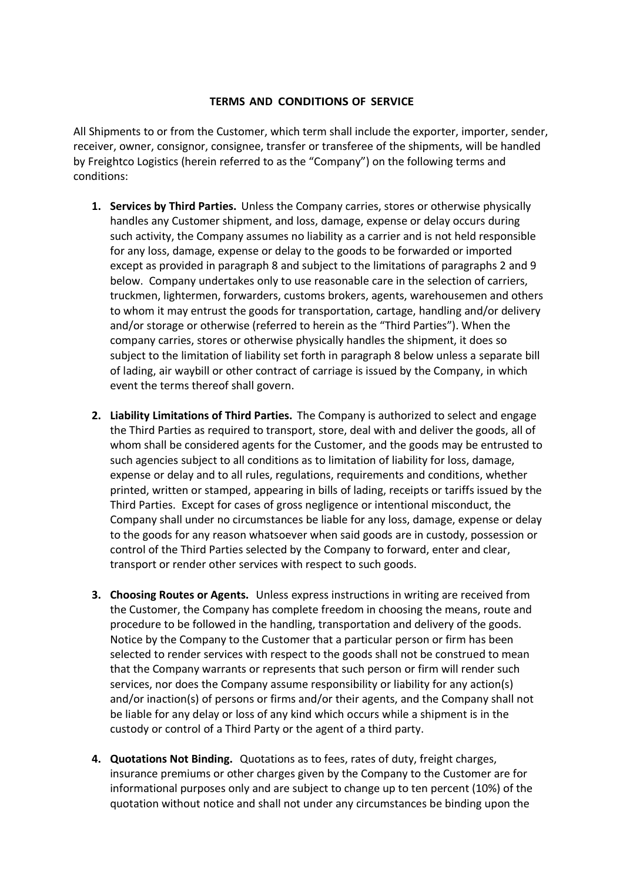## **TERMS AND CONDITIONS OF SERVICE**

All Shipments to or from the Customer, which term shall include the exporter, importer, sender, receiver, owner, consignor, consignee, transfer or transferee of the shipments, will be handled by Freightco Logistics (herein referred to as the "Company") on the following terms and conditions:

- **1. Services by Third Parties.** Unless the Company carries, stores or otherwise physically handles any Customer shipment, and loss, damage, expense or delay occurs during such activity, the Company assumes no liability as a carrier and is not held responsible for any loss, damage, expense or delay to the goods to be forwarded or imported except as provided in paragraph 8 and subject to the limitations of paragraphs 2 and 9 below. Company undertakes only to use reasonable care in the selection of carriers, truckmen, lightermen, forwarders, customs brokers, agents, warehousemen and others to whom it may entrust the goods for transportation, cartage, handling and/or delivery and/or storage or otherwise (referred to herein as the "Third Parties"). When the company carries, stores or otherwise physically handles the shipment, it does so subject to the limitation of liability set forth in paragraph 8 below unless a separate bill of lading, air waybill or other contract of carriage is issued by the Company, in which event the terms thereof shall govern.
- **2. Liability Limitations of Third Parties.** The Company is authorized to select and engage the Third Parties as required to transport, store, deal with and deliver the goods, all of whom shall be considered agents for the Customer, and the goods may be entrusted to such agencies subject to all conditions as to limitation of liability for loss, damage, expense or delay and to all rules, regulations, requirements and conditions, whether printed, written or stamped, appearing in bills of lading, receipts or tariffs issued by the Third Parties. Except for cases of gross negligence or intentional misconduct, the Company shall under no circumstances be liable for any loss, damage, expense or delay to the goods for any reason whatsoever when said goods are in custody, possession or control of the Third Parties selected by the Company to forward, enter and clear, transport or render other services with respect to such goods.
- **3. Choosing Routes or Agents.** Unless express instructions in writing are received from the Customer, the Company has complete freedom in choosing the means, route and procedure to be followed in the handling, transportation and delivery of the goods. Notice by the Company to the Customer that a particular person or firm has been selected to render services with respect to the goods shall not be construed to mean that the Company warrants or represents that such person or firm will render such services, nor does the Company assume responsibility or liability for any action(s) and/or inaction(s) of persons or firms and/or their agents, and the Company shall not be liable for any delay or loss of any kind which occurs while a shipment is in the custody or control of a Third Party or the agent of a third party.
- **4. Quotations Not Binding.** Quotations as to fees, rates of duty, freight charges, insurance premiums or other charges given by the Company to the Customer are for informational purposes only and are subject to change up to ten percent (10%) of the quotation without notice and shall not under any circumstances be binding upon the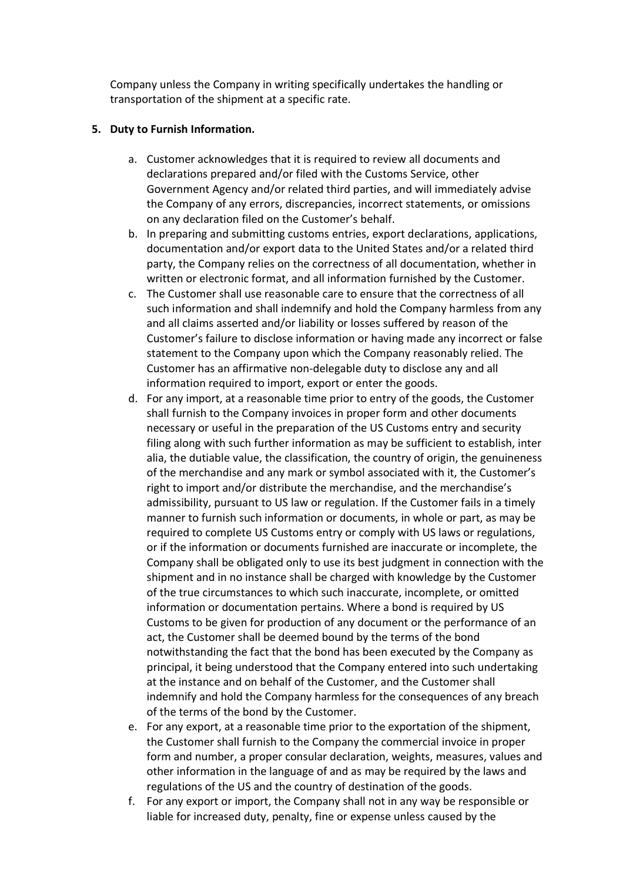Company unless the Company in writing specifically undertakes the handling or transportation of the shipment at a specific rate.

## **5. Duty to Furnish Information.**

- a. Customer acknowledges that it is required to review all documents and declarations prepared and/or filed with the Customs Service, other Government Agency and/or related third parties, and will immediately advise the Company of any errors, discrepancies, incorrect statements, or omissions on any declaration filed on the Customer's behalf.
- b. In preparing and submitting customs entries, export declarations, applications, documentation and/or export data to the United States and/or a related third party, the Company relies on the correctness of all documentation, whether in written or electronic format, and all information furnished by the Customer.
- c. The Customer shall use reasonable care to ensure that the correctness of all such information and shall indemnify and hold the Company harmless from any and all claims asserted and/or liability or losses suffered by reason of the Customer's failure to disclose information or having made any incorrect or false statement to the Company upon which the Company reasonably relied. The Customer has an affirmative non-delegable duty to disclose any and all information required to import, export or enter the goods.
- d. For any import, at a reasonable time prior to entry of the goods, the Customer shall furnish to the Company invoices in proper form and other documents necessary or useful in the preparation of the US Customs entry and security filing along with such further information as may be sufficient to establish, inter alia, the dutiable value, the classification, the country of origin, the genuineness of the merchandise and any mark or symbol associated with it, the Customer's right to import and/or distribute the merchandise, and the merchandise's admissibility, pursuant to US law or regulation. If the Customer fails in a timely manner to furnish such information or documents, in whole or part, as may be required to complete US Customs entry or comply with US laws or regulations, or if the information or documents furnished are inaccurate or incomplete, the Company shall be obligated only to use its best judgment in connection with the shipment and in no instance shall be charged with knowledge by the Customer of the true circumstances to which such inaccurate, incomplete, or omitted information or documentation pertains. Where a bond is required by US Customs to be given for production of any document or the performance of an act, the Customer shall be deemed bound by the terms of the bond notwithstanding the fact that the bond has been executed by the Company as principal, it being understood that the Company entered into such undertaking at the instance and on behalf of the Customer, and the Customer shall indemnify and hold the Company harmless for the consequences of any breach of the terms of the bond by the Customer.
- e. For any export, at a reasonable time prior to the exportation of the shipment, the Customer shall furnish to the Company the commercial invoice in proper form and number, a proper consular declaration, weights, measures, values and other information in the language of and as may be required by the laws and regulations of the US and the country of destination of the goods.
- f. For any export or import, the Company shall not in any way be responsible or liable for increased duty, penalty, fine or expense unless caused by the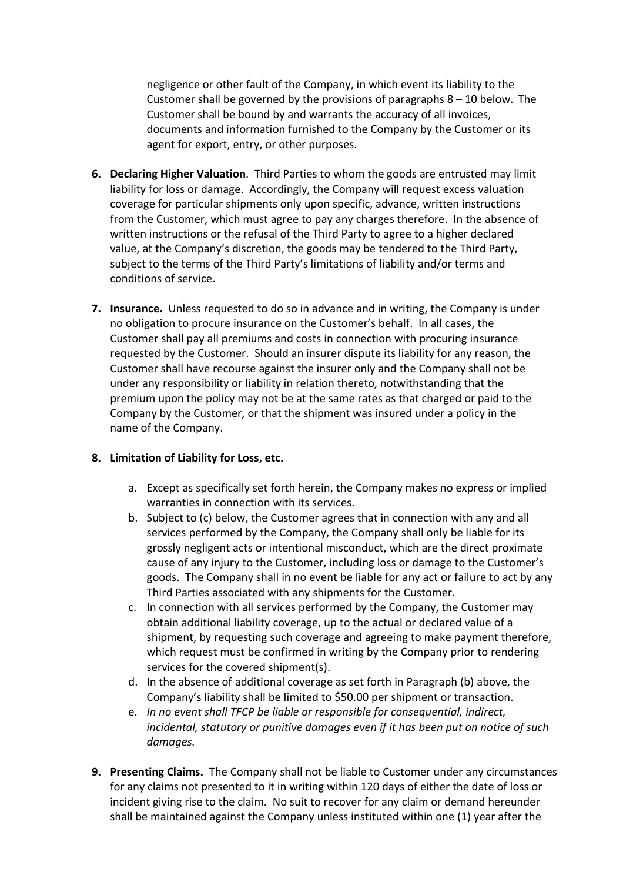negligence or other fault of the Company, in which event its liability to the Customer shall be governed by the provisions of paragraphs  $8 - 10$  below. The Customer shall be bound by and warrants the accuracy of all invoices, documents and information furnished to the Company by the Customer or its agent for export, entry, or other purposes.

- **6. Declaring Higher Valuation**. Third Parties to whom the goods are entrusted may limit liability for loss or damage. Accordingly, the Company will request excess valuation coverage for particular shipments only upon specific, advance, written instructions from the Customer, which must agree to pay any charges therefore. In the absence of written instructions or the refusal of the Third Party to agree to a higher declared value, at the Company's discretion, the goods may be tendered to the Third Party, subject to the terms of the Third Party's limitations of liability and/or terms and conditions of service.
- **7. Insurance.** Unless requested to do so in advance and in writing, the Company is under no obligation to procure insurance on the Customer's behalf. In all cases, the Customer shall pay all premiums and costs in connection with procuring insurance requested by the Customer. Should an insurer dispute its liability for any reason, the Customer shall have recourse against the insurer only and the Company shall not be under any responsibility or liability in relation thereto, notwithstanding that the premium upon the policy may not be at the same rates as that charged or paid to the Company by the Customer, or that the shipment was insured under a policy in the name of the Company.

## **8. Limitation of Liability for Loss, etc.**

- a. Except as specifically set forth herein, the Company makes no express or implied warranties in connection with its services.
- b. Subject to (c) below, the Customer agrees that in connection with any and all services performed by the Company, the Company shall only be liable for its grossly negligent acts or intentional misconduct, which are the direct proximate cause of any injury to the Customer, including loss or damage to the Customer's goods. The Company shall in no event be liable for any act or failure to act by any Third Parties associated with any shipments for the Customer.
- c. In connection with all services performed by the Company, the Customer may obtain additional liability coverage, up to the actual or declared value of a shipment, by requesting such coverage and agreeing to make payment therefore, which request must be confirmed in writing by the Company prior to rendering services for the covered shipment(s).
- d. In the absence of additional coverage as set forth in Paragraph (b) above, the Company's liability shall be limited to \$50.00 per shipment or transaction.
- e. *In no event shall TFCP be liable or responsible for consequential, indirect, incidental, statutory or punitive damages even if it has been put on notice of such damages.*
- **9. Presenting Claims.** The Company shall not be liable to Customer under any circumstances for any claims not presented to it in writing within 120 days of either the date of loss or incident giving rise to the claim. No suit to recover for any claim or demand hereunder shall be maintained against the Company unless instituted within one (1) year after the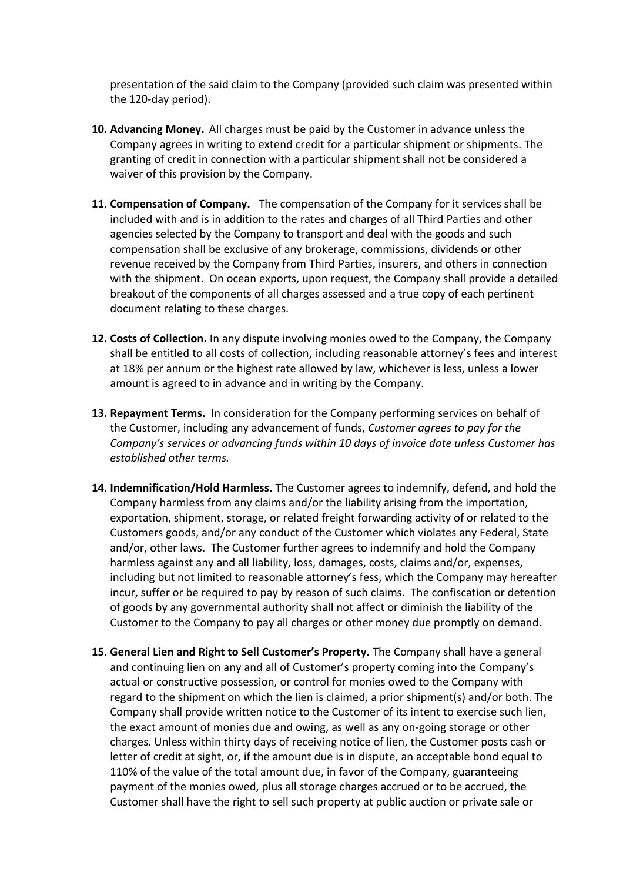presentation of the said claim to the Company (provided such claim was presented within the 120-day period).

- **10. Advancing Money.** All charges must be paid by the Customer in advance unless the Company agrees in writing to extend credit for a particular shipment or shipments. The granting of credit in connection with a particular shipment shall not be considered a waiver of this provision by the Company.
- **11. Compensation of Company.** The compensation of the Company for it services shall be included with and is in addition to the rates and charges of all Third Parties and other agencies selected by the Company to transport and deal with the goods and such compensation shall be exclusive of any brokerage, commissions, dividends or other revenue received by the Company from Third Parties, insurers, and others in connection with the shipment. On ocean exports, upon request, the Company shall provide a detailed breakout of the components of all charges assessed and a true copy of each pertinent document relating to these charges.
- **12. Costs of Collection.** In any dispute involving monies owed to the Company, the Company shall be entitled to all costs of collection, including reasonable attorney's fees and interest at 18% per annum or the highest rate allowed by law, whichever is less, unless a lower amount is agreed to in advance and in writing by the Company.
- **13. Repayment Terms.** In consideration for the Company performing services on behalf of the Customer, including any advancement of funds, *Customer agrees to pay for the Company's services or advancing funds within 10 days of invoice date unless Customer has established other terms.*
- **14. Indemnification/Hold Harmless.** The Customer agrees to indemnify, defend, and hold the Company harmless from any claims and/or the liability arising from the importation, exportation, shipment, storage, or related freight forwarding activity of or related to the Customers goods, and/or any conduct of the Customer which violates any Federal, State and/or, other laws. The Customer further agrees to indemnify and hold the Company harmless against any and all liability, loss, damages, costs, claims and/or, expenses, including but not limited to reasonable attorney's fess, which the Company may hereafter incur, suffer or be required to pay by reason of such claims. The confiscation or detention of goods by any governmental authority shall not affect or diminish the liability of the Customer to the Company to pay all charges or other money due promptly on demand.
- **15. General Lien and Right to Sell Customer's Property.** The Company shall have a general and continuing lien on any and all of Customer's property coming into the Company's actual or constructive possession, or control for monies owed to the Company with regard to the shipment on which the lien is claimed, a prior shipment(s) and/or both. The Company shall provide written notice to the Customer of its intent to exercise such lien, the exact amount of monies due and owing, as well as any on-going storage or other charges. Unless within thirty days of receiving notice of lien, the Customer posts cash or letter of credit at sight, or, if the amount due is in dispute, an acceptable bond equal to 110% of the value of the total amount due, in favor of the Company, guaranteeing payment of the monies owed, plus all storage charges accrued or to be accrued, the Customer shall have the right to sell such property at public auction or private sale or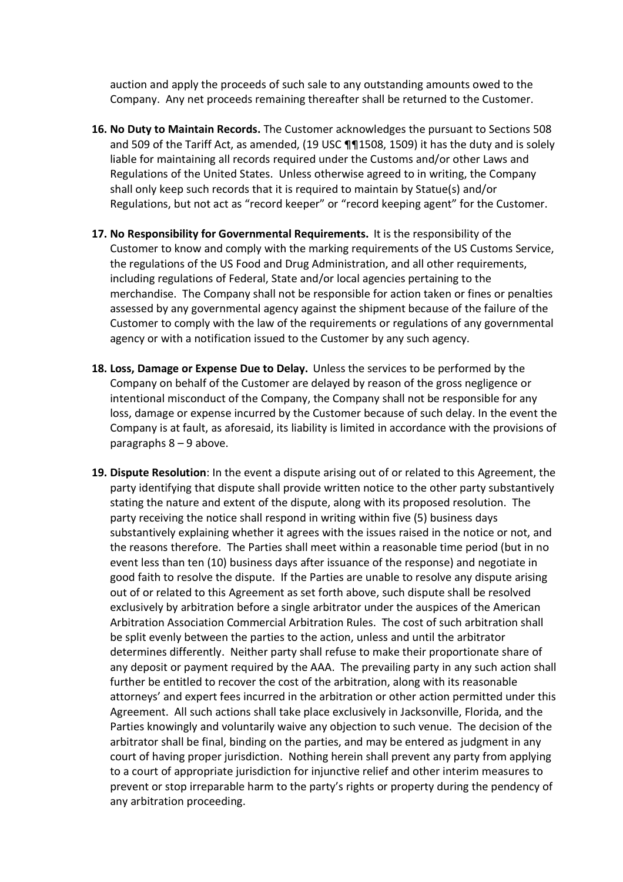auction and apply the proceeds of such sale to any outstanding amounts owed to the Company. Any net proceeds remaining thereafter shall be returned to the Customer.

- **16. No Duty to Maintain Records.** The Customer acknowledges the pursuant to Sections 508 and 509 of the Tariff Act, as amended, (19 USC ¶¶1508, 1509) it has the duty and is solely liable for maintaining all records required under the Customs and/or other Laws and Regulations of the United States. Unless otherwise agreed to in writing, the Company shall only keep such records that it is required to maintain by Statue(s) and/or Regulations, but not act as "record keeper" or "record keeping agent" for the Customer.
- **17. No Responsibility for Governmental Requirements.** It is the responsibility of the Customer to know and comply with the marking requirements of the US Customs Service, the regulations of the US Food and Drug Administration, and all other requirements, including regulations of Federal, State and/or local agencies pertaining to the merchandise. The Company shall not be responsible for action taken or fines or penalties assessed by any governmental agency against the shipment because of the failure of the Customer to comply with the law of the requirements or regulations of any governmental agency or with a notification issued to the Customer by any such agency.
- **18. Loss, Damage or Expense Due to Delay.** Unless the services to be performed by the Company on behalf of the Customer are delayed by reason of the gross negligence or intentional misconduct of the Company, the Company shall not be responsible for any loss, damage or expense incurred by the Customer because of such delay. In the event the Company is at fault, as aforesaid, its liability is limited in accordance with the provisions of paragraphs 8 – 9 above.
- **19. Dispute Resolution**: In the event a dispute arising out of or related to this Agreement, the party identifying that dispute shall provide written notice to the other party substantively stating the nature and extent of the dispute, along with its proposed resolution. The party receiving the notice shall respond in writing within five (5) business days substantively explaining whether it agrees with the issues raised in the notice or not, and the reasons therefore. The Parties shall meet within a reasonable time period (but in no event less than ten (10) business days after issuance of the response) and negotiate in good faith to resolve the dispute. If the Parties are unable to resolve any dispute arising out of or related to this Agreement as set forth above, such dispute shall be resolved exclusively by arbitration before a single arbitrator under the auspices of the American Arbitration Association Commercial Arbitration Rules. The cost of such arbitration shall be split evenly between the parties to the action, unless and until the arbitrator determines differently. Neither party shall refuse to make their proportionate share of any deposit or payment required by the AAA. The prevailing party in any such action shall further be entitled to recover the cost of the arbitration, along with its reasonable attorneys' and expert fees incurred in the arbitration or other action permitted under this Agreement. All such actions shall take place exclusively in Jacksonville, Florida, and the Parties knowingly and voluntarily waive any objection to such venue. The decision of the arbitrator shall be final, binding on the parties, and may be entered as judgment in any court of having proper jurisdiction. Nothing herein shall prevent any party from applying to a court of appropriate jurisdiction for injunctive relief and other interim measures to prevent or stop irreparable harm to the party's rights or property during the pendency of any arbitration proceeding.